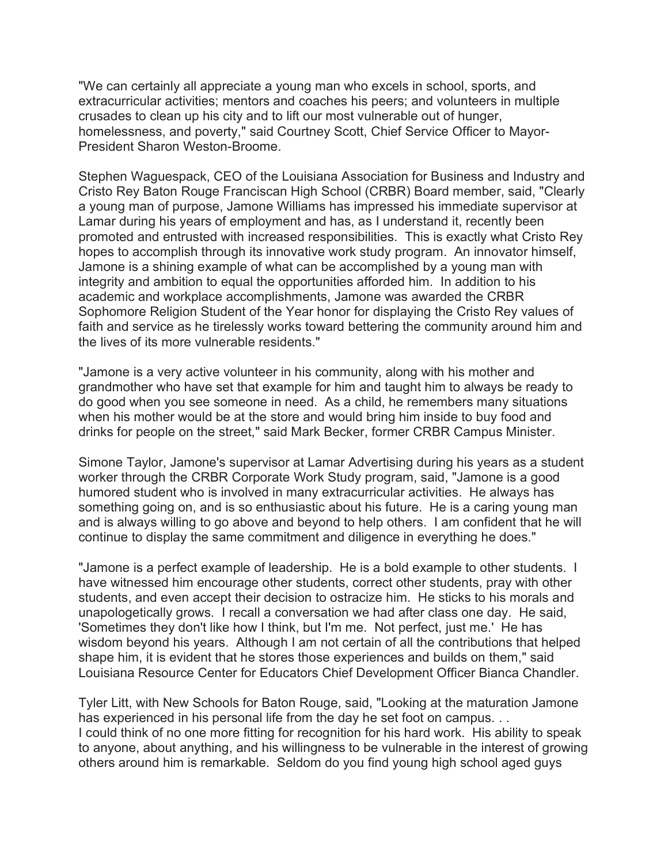"We can certainly all appreciate a young man who excels in school, sports, and extracurricular activities; mentors and coaches his peers; and volunteers in multiple crusades to clean up his city and to lift our most vulnerable out of hunger, homelessness, and poverty," said Courtney Scott, Chief Service Officer to Mayor-President Sharon Weston-Broome.

Stephen Waguespack, CEO of the Louisiana Association for Business and Industry and Cristo Rey Baton Rouge Franciscan High School (CRBR) Board member, said, "Clearly a young man of purpose, Jamone Williams has impressed his immediate supervisor at Lamar during his years of employment and has, as I understand it, recently been promoted and entrusted with increased responsibilities. This is exactly what Cristo Rey hopes to accomplish through its innovative work study program. An innovator himself, Jamone is a shining example of what can be accomplished by a young man with integrity and ambition to equal the opportunities afforded him. In addition to his academic and workplace accomplishments, Jamone was awarded the CRBR Sophomore Religion Student of the Year honor for displaying the Cristo Rey values of faith and service as he tirelessly works toward bettering the community around him and the lives of its more vulnerable residents."

"Jamone is a very active volunteer in his community, along with his mother and grandmother who have set that example for him and taught him to always be ready to do good when you see someone in need. As a child, he remembers many situations when his mother would be at the store and would bring him inside to buy food and drinks for people on the street," said Mark Becker, former CRBR Campus Minister.

Simone Taylor, Jamone's supervisor at Lamar Advertising during his years as a student worker through the CRBR Corporate Work Study program, said, "Jamone is a good humored student who is involved in many extracurricular activities. He always has something going on, and is so enthusiastic about his future. He is a caring young man and is always willing to go above and beyond to help others. I am confident that he will continue to display the same commitment and diligence in everything he does."

"Jamone is a perfect example of leadership. He is a bold example to other students. I have witnessed him encourage other students, correct other students, pray with other students, and even accept their decision to ostracize him. He sticks to his morals and unapologetically grows. I recall a conversation we had after class one day. He said, 'Sometimes they don't like how I think, but I'm me. Not perfect, just me.' He has wisdom beyond his years. Although I am not certain of all the contributions that helped shape him, it is evident that he stores those experiences and builds on them," said Louisiana Resource Center for Educators Chief Development Officer Bianca Chandler.

Tyler Litt, with New Schools for Baton Rouge, said, "Looking at the maturation Jamone has experienced in his personal life from the day he set foot on campus. . . I could think of no one more fitting for recognition for his hard work. His ability to speak to anyone, about anything, and his willingness to be vulnerable in the interest of growing others around him is remarkable. Seldom do you find young high school aged guys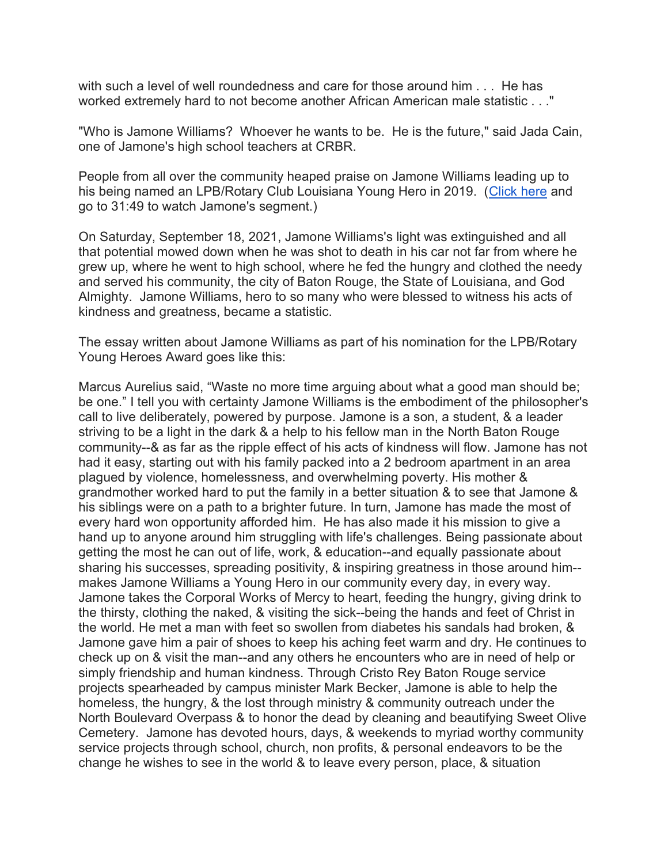with such a level of well roundedness and care for those around him . . . He has worked extremely hard to not become another African American male statistic . . ."

"Who is Jamone Williams? Whoever he wants to be. He is the future," said Jada Cain, one of Jamone's high school teachers at CRBR.

People from all over the community heaped praise on Jamone Williams leading up to his being named an LPB/Rotary Club Louisiana Young Hero in 2019. (Click here and go to 31:49 to watch Jamone's segment.)

On Saturday, September 18, 2021, Jamone Williams's light was extinguished and all that potential mowed down when he was shot to death in his car not far from where he grew up, where he went to high school, where he fed the hungry and clothed the needy and served his community, the city of Baton Rouge, the State of Louisiana, and God Almighty. Jamone Williams, hero to so many who were blessed to witness his acts of kindness and greatness, became a statistic.

The essay written about Jamone Williams as part of his nomination for the LPB/Rotary Young Heroes Award goes like this:

Marcus Aurelius said, "Waste no more time arguing about what a good man should be; be one." I tell you with certainty Jamone Williams is the embodiment of the philosopher's call to live deliberately, powered by purpose. Jamone is a son, a student, & a leader striving to be a light in the dark & a help to his fellow man in the North Baton Rouge community--& as far as the ripple effect of his acts of kindness will flow. Jamone has not had it easy, starting out with his family packed into a 2 bedroom apartment in an area plagued by violence, homelessness, and overwhelming poverty. His mother & grandmother worked hard to put the family in a better situation & to see that Jamone & his siblings were on a path to a brighter future. In turn, Jamone has made the most of every hard won opportunity afforded him. He has also made it his mission to give a hand up to anyone around him struggling with life's challenges. Being passionate about getting the most he can out of life, work, & education--and equally passionate about sharing his successes, spreading positivity, & inspiring greatness in those around him- makes Jamone Williams a Young Hero in our community every day, in every way. Jamone takes the Corporal Works of Mercy to heart, feeding the hungry, giving drink to the thirsty, clothing the naked, & visiting the sick--being the hands and feet of Christ in the world. He met a man with feet so swollen from diabetes his sandals had broken, & Jamone gave him a pair of shoes to keep his aching feet warm and dry. He continues to check up on & visit the man--and any others he encounters who are in need of help or simply friendship and human kindness. Through Cristo Rey Baton Rouge service projects spearheaded by campus minister Mark Becker, Jamone is able to help the homeless, the hungry, & the lost through ministry & community outreach under the North Boulevard Overpass & to honor the dead by cleaning and beautifying Sweet Olive Cemetery. Jamone has devoted hours, days, & weekends to myriad worthy community service projects through school, church, non profits, & personal endeavors to be the change he wishes to see in the world & to leave every person, place, & situation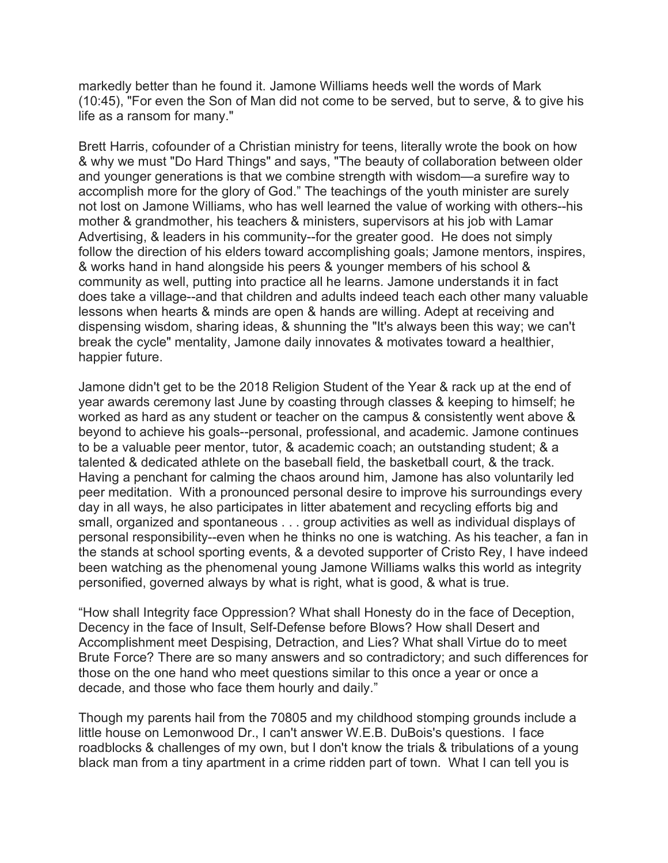markedly better than he found it. Jamone Williams heeds well the words of Mark (10:45), "For even the Son of Man did not come to be served, but to serve, & to give his life as a ransom for many."

Brett Harris, cofounder of a Christian ministry for teens, literally wrote the book on how & why we must "Do Hard Things" and says, "The beauty of collaboration between older and younger generations is that we combine strength with wisdom—a surefire way to accomplish more for the glory of God." The teachings of the youth minister are surely not lost on Jamone Williams, who has well learned the value of working with others--his mother & grandmother, his teachers & ministers, supervisors at his job with Lamar Advertising, & leaders in his community--for the greater good. He does not simply follow the direction of his elders toward accomplishing goals; Jamone mentors, inspires, & works hand in hand alongside his peers & younger members of his school & community as well, putting into practice all he learns. Jamone understands it in fact does take a village--and that children and adults indeed teach each other many valuable lessons when hearts & minds are open & hands are willing. Adept at receiving and dispensing wisdom, sharing ideas, & shunning the "It's always been this way; we can't break the cycle" mentality, Jamone daily innovates & motivates toward a healthier, happier future.

Jamone didn't get to be the 2018 Religion Student of the Year & rack up at the end of year awards ceremony last June by coasting through classes & keeping to himself; he worked as hard as any student or teacher on the campus & consistently went above & beyond to achieve his goals--personal, professional, and academic. Jamone continues to be a valuable peer mentor, tutor, & academic coach; an outstanding student; & a talented & dedicated athlete on the baseball field, the basketball court, & the track. Having a penchant for calming the chaos around him, Jamone has also voluntarily led peer meditation. With a pronounced personal desire to improve his surroundings every day in all ways, he also participates in litter abatement and recycling efforts big and small, organized and spontaneous . . . group activities as well as individual displays of personal responsibility--even when he thinks no one is watching. As his teacher, a fan in the stands at school sporting events, & a devoted supporter of Cristo Rey, I have indeed been watching as the phenomenal young Jamone Williams walks this world as integrity personified, governed always by what is right, what is good, & what is true.

"How shall Integrity face Oppression? What shall Honesty do in the face of Deception, Decency in the face of Insult, Self-Defense before Blows? How shall Desert and Accomplishment meet Despising, Detraction, and Lies? What shall Virtue do to meet Brute Force? There are so many answers and so contradictory; and such differences for those on the one hand who meet questions similar to this once a year or once a decade, and those who face them hourly and daily."

Though my parents hail from the 70805 and my childhood stomping grounds include a little house on Lemonwood Dr., I can't answer W.E.B. DuBois's questions. I face roadblocks & challenges of my own, but I don't know the trials & tribulations of a young black man from a tiny apartment in a crime ridden part of town. What I can tell you is